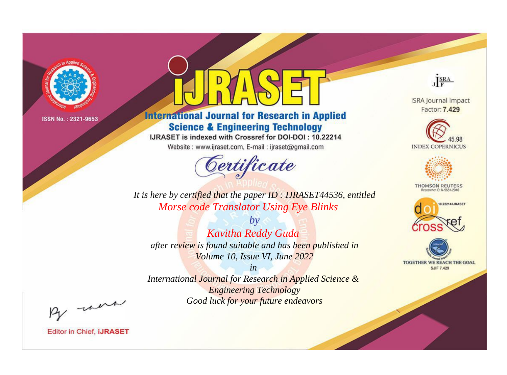

# **International Journal for Research in Applied Science & Engineering Technology**

IJRASET is indexed with Crossref for DOI-DOI: 10.22214

Website: www.ijraset.com, E-mail: ijraset@gmail.com



JERA

**ISRA Journal Impact** Factor: 7.429





**THOMSON REUTERS** 



TOGETHER WE REACH THE GOAL **SJIF 7.429** 

It is here by certified that the paper ID: IJRASET44536, entitled Morse code Translator Using Eye Blinks

 $by$ Kavitha Reddy Guda after review is found suitable and has been published in Volume 10, Issue VI, June 2022

 $in$ International Journal for Research in Applied Science & **Engineering Technology** Good luck for your future endeavors

By morn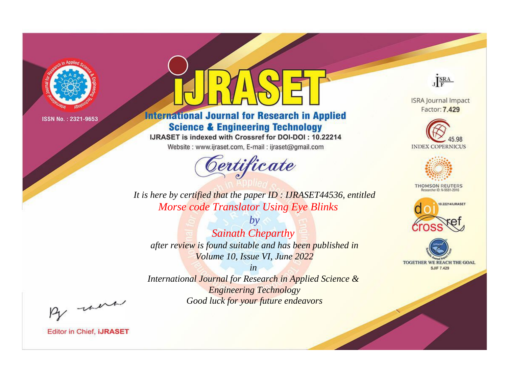

# **International Journal for Research in Applied Science & Engineering Technology**

IJRASET is indexed with Crossref for DOI-DOI: 10.22214

Website: www.ijraset.com, E-mail: ijraset@gmail.com



JERA

**ISRA Journal Impact** Factor: 7.429





**THOMSON REUTERS** 



TOGETHER WE REACH THE GOAL **SJIF 7.429** 

It is here by certified that the paper ID: IJRASET44536, entitled Morse code Translator Using Eye Blinks

 $by$ **Sainath Cheparthy** after review is found suitable and has been published in Volume 10, Issue VI, June 2022

 $in$ International Journal for Research in Applied Science & **Engineering Technology** Good luck for your future endeavors

By morn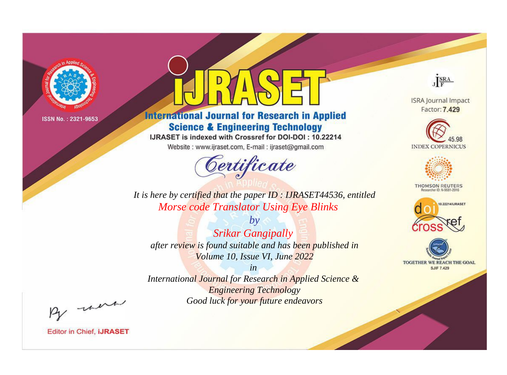

# **International Journal for Research in Applied Science & Engineering Technology**

IJRASET is indexed with Crossref for DOI-DOI: 10.22214

Website: www.ijraset.com, E-mail: ijraset@gmail.com



JERA

**ISRA Journal Impact** Factor: 7.429





**THOMSON REUTERS** 



TOGETHER WE REACH THE GOAL **SJIF 7.429** 

It is here by certified that the paper ID: IJRASET44536, entitled Morse code Translator Using Eye Blinks

 $b\mathbf{v}$ **Srikar Gangipally** after review is found suitable and has been published in Volume 10, Issue VI, June 2022

 $in$ International Journal for Research in Applied Science & **Engineering Technology** Good luck for your future endeavors

By morn